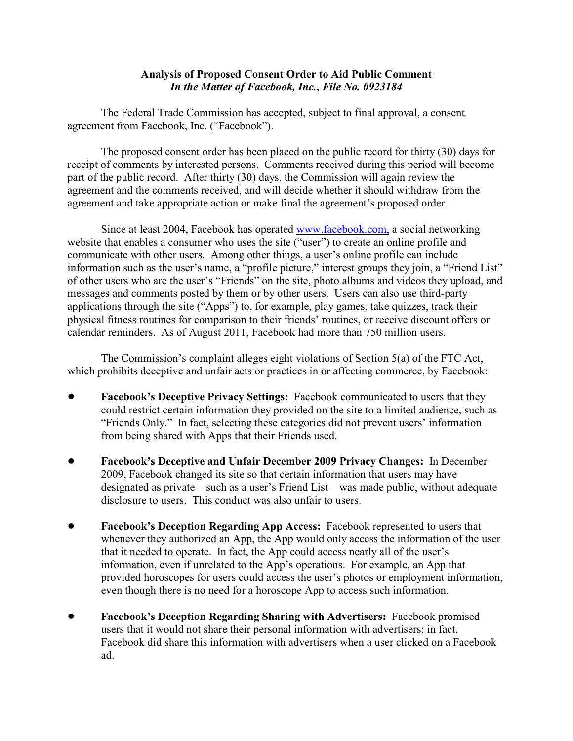## **Analysis of Proposed Consent Order to Aid Public Comment** *In the Matter of Facebook, Inc.***,** *File No. 0923184*

The Federal Trade Commission has accepted, subject to final approval, a consent agreement from Facebook, Inc. ("Facebook").

The proposed consent order has been placed on the public record for thirty (30) days for receipt of comments by interested persons. Comments received during this period will become part of the public record. After thirty (30) days, the Commission will again review the agreement and the comments received, and will decide whether it should withdraw from the agreement and take appropriate action or make final the agreement's proposed order.

Since at least 2004, Facebook has operated [www.facebook.com,](http://www.facebook.com,) a social networking website that enables a consumer who uses the site ("user") to create an online profile and communicate with other users. Among other things, a user's online profile can include information such as the user's name, a "profile picture," interest groups they join, a "Friend List" of other users who are the user's "Friends" on the site, photo albums and videos they upload, and messages and comments posted by them or by other users. Users can also use third-party applications through the site ("Apps") to, for example, play games, take quizzes, track their physical fitness routines for comparison to their friends' routines, or receive discount offers or calendar reminders. As of August 2011, Facebook had more than 750 million users.

The Commission's complaint alleges eight violations of Section 5(a) of the FTC Act, which prohibits deceptive and unfair acts or practices in or affecting commerce, by Facebook:

- **Facebook's Deceptive Privacy Settings:** Facebook communicated to users that they could restrict certain information they provided on the site to a limited audience, such as "Friends Only." In fact, selecting these categories did not prevent users' information from being shared with Apps that their Friends used.
- ! **Facebook's Deceptive and Unfair December 2009 Privacy Changes:** In December 2009, Facebook changed its site so that certain information that users may have designated as private – such as a user's Friend List – was made public, without adequate disclosure to users. This conduct was also unfair to users.
- ! **Facebook's Deception Regarding App Access:** Facebook represented to users that whenever they authorized an App, the App would only access the information of the user that it needed to operate. In fact, the App could access nearly all of the user's information, even if unrelated to the App's operations. For example, an App that provided horoscopes for users could access the user's photos or employment information, even though there is no need for a horoscope App to access such information.
- ! **Facebook's Deception Regarding Sharing with Advertisers:** Facebook promised users that it would not share their personal information with advertisers; in fact, Facebook did share this information with advertisers when a user clicked on a Facebook ad.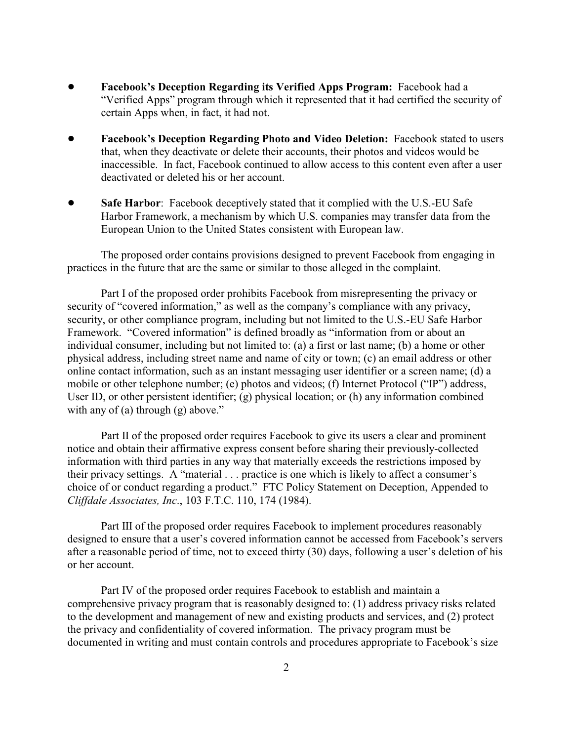- ! **Facebook's Deception Regarding its Verified Apps Program:** Facebook had a "Verified Apps" program through which it represented that it had certified the security of certain Apps when, in fact, it had not.
- ! **Facebook's Deception Regarding Photo and Video Deletion:** Facebook stated to users that, when they deactivate or delete their accounts, their photos and videos would be inaccessible. In fact, Facebook continued to allow access to this content even after a user deactivated or deleted his or her account.
- **Safe Harbor:** Facebook deceptively stated that it complied with the U.S.-EU Safe Harbor Framework, a mechanism by which U.S. companies may transfer data from the European Union to the United States consistent with European law.

The proposed order contains provisions designed to prevent Facebook from engaging in practices in the future that are the same or similar to those alleged in the complaint.

Part I of the proposed order prohibits Facebook from misrepresenting the privacy or security of "covered information," as well as the company's compliance with any privacy, security, or other compliance program, including but not limited to the U.S.-EU Safe Harbor Framework. "Covered information" is defined broadly as "information from or about an individual consumer, including but not limited to: (a) a first or last name; (b) a home or other physical address, including street name and name of city or town; (c) an email address or other online contact information, such as an instant messaging user identifier or a screen name; (d) a mobile or other telephone number; (e) photos and videos; (f) Internet Protocol ("IP") address, User ID, or other persistent identifier; (g) physical location; or (h) any information combined with any of (a) through (g) above."

Part II of the proposed order requires Facebook to give its users a clear and prominent notice and obtain their affirmative express consent before sharing their previously-collected information with third parties in any way that materially exceeds the restrictions imposed by their privacy settings. A "material . . . practice is one which is likely to affect a consumer's choice of or conduct regarding a product." FTC Policy Statement on Deception, Appended to *Cliffdale Associates, Inc*., 103 F.T.C. 110, 174 (1984).

Part III of the proposed order requires Facebook to implement procedures reasonably designed to ensure that a user's covered information cannot be accessed from Facebook's servers after a reasonable period of time, not to exceed thirty (30) days, following a user's deletion of his or her account.

Part IV of the proposed order requires Facebook to establish and maintain a comprehensive privacy program that is reasonably designed to: (1) address privacy risks related to the development and management of new and existing products and services, and (2) protect the privacy and confidentiality of covered information. The privacy program must be documented in writing and must contain controls and procedures appropriate to Facebook's size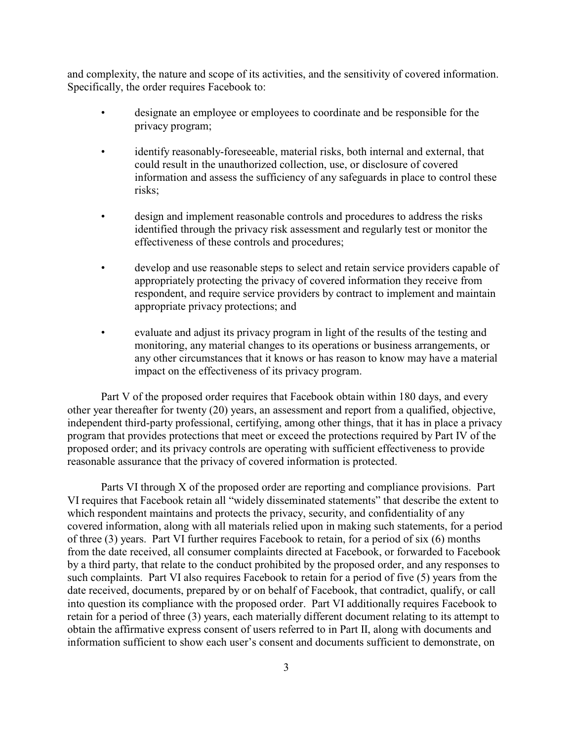and complexity, the nature and scope of its activities, and the sensitivity of covered information. Specifically, the order requires Facebook to:

- designate an employee or employees to coordinate and be responsible for the privacy program;
- identify reasonably-foreseeable, material risks, both internal and external, that could result in the unauthorized collection, use, or disclosure of covered information and assess the sufficiency of any safeguards in place to control these risks;
- design and implement reasonable controls and procedures to address the risks identified through the privacy risk assessment and regularly test or monitor the effectiveness of these controls and procedures;
- develop and use reasonable steps to select and retain service providers capable of appropriately protecting the privacy of covered information they receive from respondent, and require service providers by contract to implement and maintain appropriate privacy protections; and
- evaluate and adjust its privacy program in light of the results of the testing and monitoring, any material changes to its operations or business arrangements, or any other circumstances that it knows or has reason to know may have a material impact on the effectiveness of its privacy program.

Part V of the proposed order requires that Facebook obtain within 180 days, and every other year thereafter for twenty (20) years, an assessment and report from a qualified, objective, independent third-party professional, certifying, among other things, that it has in place a privacy program that provides protections that meet or exceed the protections required by Part IV of the proposed order; and its privacy controls are operating with sufficient effectiveness to provide reasonable assurance that the privacy of covered information is protected.

Parts VI through X of the proposed order are reporting and compliance provisions. Part VI requires that Facebook retain all "widely disseminated statements" that describe the extent to which respondent maintains and protects the privacy, security, and confidentiality of any covered information, along with all materials relied upon in making such statements, for a period of three (3) years. Part VI further requires Facebook to retain, for a period of six (6) months from the date received, all consumer complaints directed at Facebook, or forwarded to Facebook by a third party, that relate to the conduct prohibited by the proposed order, and any responses to such complaints. Part VI also requires Facebook to retain for a period of five (5) years from the date received, documents, prepared by or on behalf of Facebook, that contradict, qualify, or call into question its compliance with the proposed order. Part VI additionally requires Facebook to retain for a period of three (3) years, each materially different document relating to its attempt to obtain the affirmative express consent of users referred to in Part II, along with documents and information sufficient to show each user's consent and documents sufficient to demonstrate, on